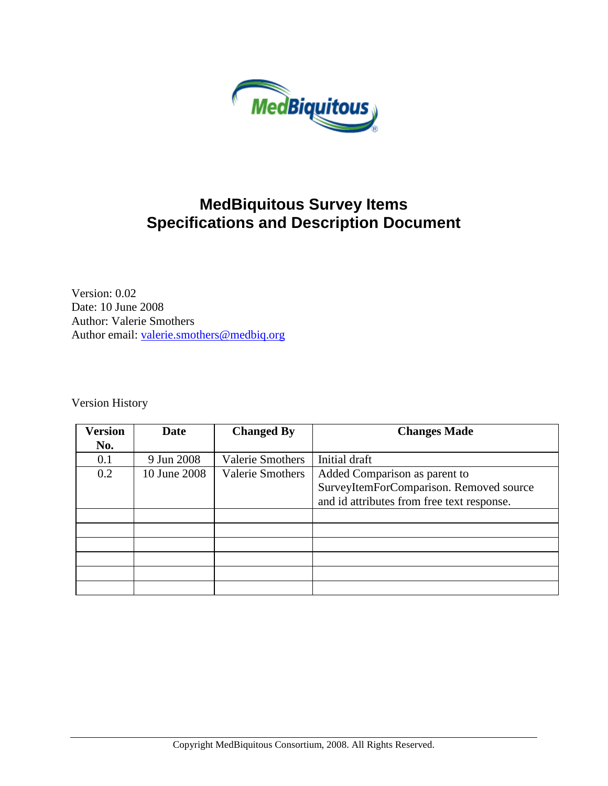

## **MedBiquitous Survey Items Specifications and Description Document**

Version: 0.02 Date: 10 June 2008 Author: Valerie Smothers Author email: [valerie.smothers@medbiq.org](mailto:valerie.smothers@medbiq.org)

Version History

| Version | Date         | <b>Changed By</b>       | <b>Changes Made</b>                        |
|---------|--------------|-------------------------|--------------------------------------------|
| No.     |              |                         |                                            |
| 0.1     | 9 Jun 2008   | <b>Valerie Smothers</b> | Initial draft                              |
| 0.2     | 10 June 2008 | <b>Valerie Smothers</b> | Added Comparison as parent to              |
|         |              |                         | SurveyItemForComparison. Removed source    |
|         |              |                         | and id attributes from free text response. |
|         |              |                         |                                            |
|         |              |                         |                                            |
|         |              |                         |                                            |
|         |              |                         |                                            |
|         |              |                         |                                            |
|         |              |                         |                                            |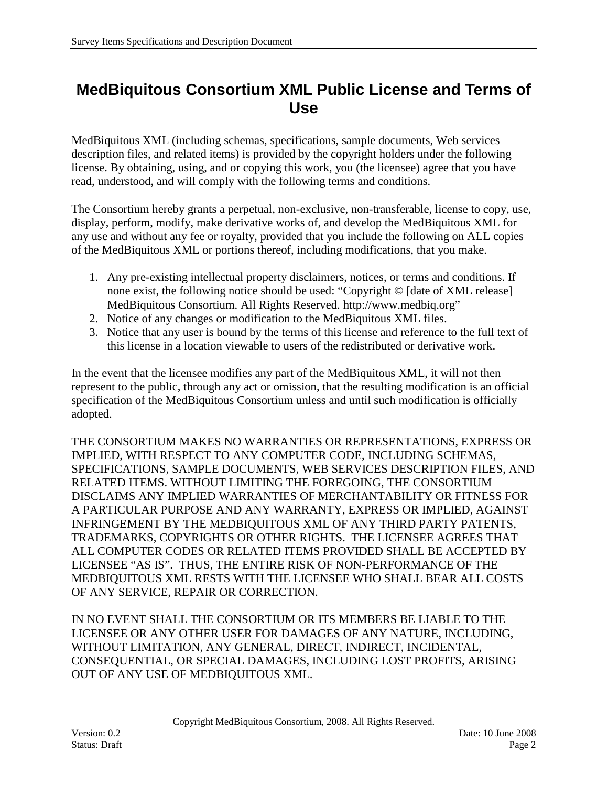## <span id="page-1-0"></span>**MedBiquitous Consortium XML Public License and Terms of Use**

MedBiquitous XML (including schemas, specifications, sample documents, Web services description files, and related items) is provided by the copyright holders under the following license. By obtaining, using, and or copying this work, you (the licensee) agree that you have read, understood, and will comply with the following terms and conditions.

The Consortium hereby grants a perpetual, non-exclusive, non-transferable, license to copy, use, display, perform, modify, make derivative works of, and develop the MedBiquitous XML for any use and without any fee or royalty, provided that you include the following on ALL copies of the MedBiquitous XML or portions thereof, including modifications, that you make.

- 1. Any pre-existing intellectual property disclaimers, notices, or terms and conditions. If none exist, the following notice should be used: "Copyright © [date of XML release] MedBiquitous Consortium. All Rights Reserved. http://www.medbiq.org"
- 2. Notice of any changes or modification to the MedBiquitous XML files.
- 3. Notice that any user is bound by the terms of this license and reference to the full text of this license in a location viewable to users of the redistributed or derivative work.

In the event that the licensee modifies any part of the MedBiquitous XML, it will not then represent to the public, through any act or omission, that the resulting modification is an official specification of the MedBiquitous Consortium unless and until such modification is officially adopted.

THE CONSORTIUM MAKES NO WARRANTIES OR REPRESENTATIONS, EXPRESS OR IMPLIED, WITH RESPECT TO ANY COMPUTER CODE, INCLUDING SCHEMAS, SPECIFICATIONS, SAMPLE DOCUMENTS, WEB SERVICES DESCRIPTION FILES, AND RELATED ITEMS. WITHOUT LIMITING THE FOREGOING, THE CONSORTIUM DISCLAIMS ANY IMPLIED WARRANTIES OF MERCHANTABILITY OR FITNESS FOR A PARTICULAR PURPOSE AND ANY WARRANTY, EXPRESS OR IMPLIED, AGAINST INFRINGEMENT BY THE MEDBIQUITOUS XML OF ANY THIRD PARTY PATENTS, TRADEMARKS, COPYRIGHTS OR OTHER RIGHTS. THE LICENSEE AGREES THAT ALL COMPUTER CODES OR RELATED ITEMS PROVIDED SHALL BE ACCEPTED BY LICENSEE "AS IS". THUS, THE ENTIRE RISK OF NON-PERFORMANCE OF THE MEDBIQUITOUS XML RESTS WITH THE LICENSEE WHO SHALL BEAR ALL COSTS OF ANY SERVICE, REPAIR OR CORRECTION.

IN NO EVENT SHALL THE CONSORTIUM OR ITS MEMBERS BE LIABLE TO THE LICENSEE OR ANY OTHER USER FOR DAMAGES OF ANY NATURE, INCLUDING, WITHOUT LIMITATION, ANY GENERAL, DIRECT, INDIRECT, INCIDENTAL, CONSEQUENTIAL, OR SPECIAL DAMAGES, INCLUDING LOST PROFITS, ARISING OUT OF ANY USE OF MEDBIQUITOUS XML.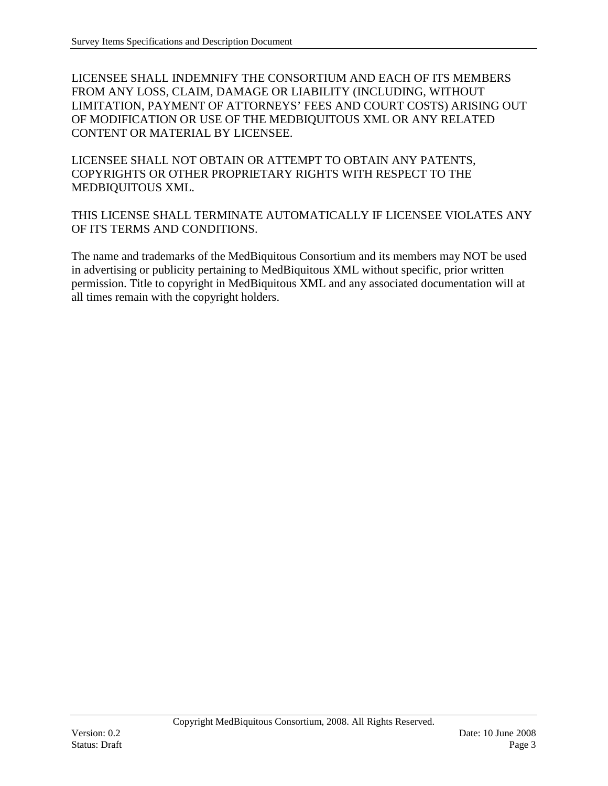LICENSEE SHALL INDEMNIFY THE CONSORTIUM AND EACH OF ITS MEMBERS FROM ANY LOSS, CLAIM, DAMAGE OR LIABILITY (INCLUDING, WITHOUT LIMITATION, PAYMENT OF ATTORNEYS' FEES AND COURT COSTS) ARISING OUT OF MODIFICATION OR USE OF THE MEDBIQUITOUS XML OR ANY RELATED CONTENT OR MATERIAL BY LICENSEE.

LICENSEE SHALL NOT OBTAIN OR ATTEMPT TO OBTAIN ANY PATENTS, COPYRIGHTS OR OTHER PROPRIETARY RIGHTS WITH RESPECT TO THE MEDBIQUITOUS XML.

THIS LICENSE SHALL TERMINATE AUTOMATICALLY IF LICENSEE VIOLATES ANY OF ITS TERMS AND CONDITIONS.

The name and trademarks of the MedBiquitous Consortium and its members may NOT be used in advertising or publicity pertaining to MedBiquitous XML without specific, prior written permission. Title to copyright in MedBiquitous XML and any associated documentation will at all times remain with the copyright holders.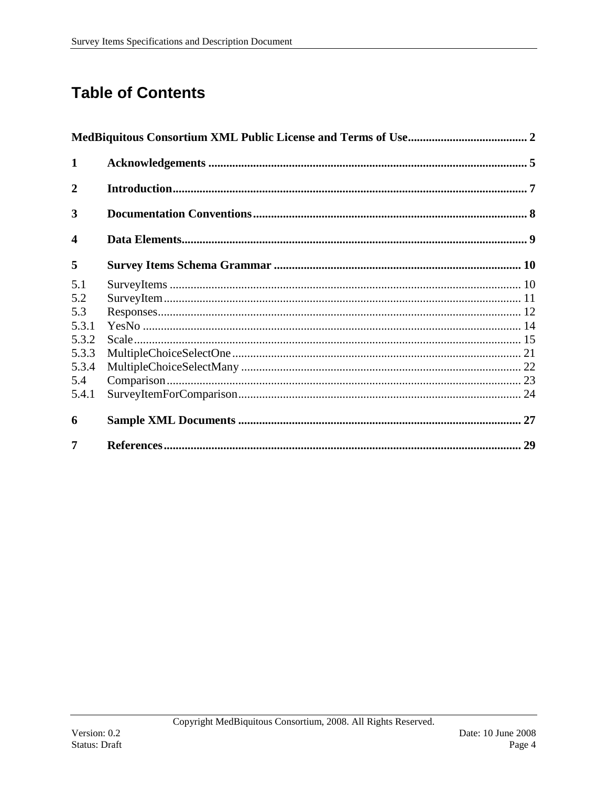## **Table of Contents**

| 1                       |  |
|-------------------------|--|
| $\overline{2}$          |  |
| 3                       |  |
| $\overline{\mathbf{4}}$ |  |
| 5                       |  |
| 5.1                     |  |
| 5.2                     |  |
| 5.3                     |  |
| 5.3.1                   |  |
| 5.3.2                   |  |
| 5.3.3                   |  |
| 5.3.4                   |  |
| 5.4                     |  |
| 5.4.1                   |  |
| 6                       |  |
| 7                       |  |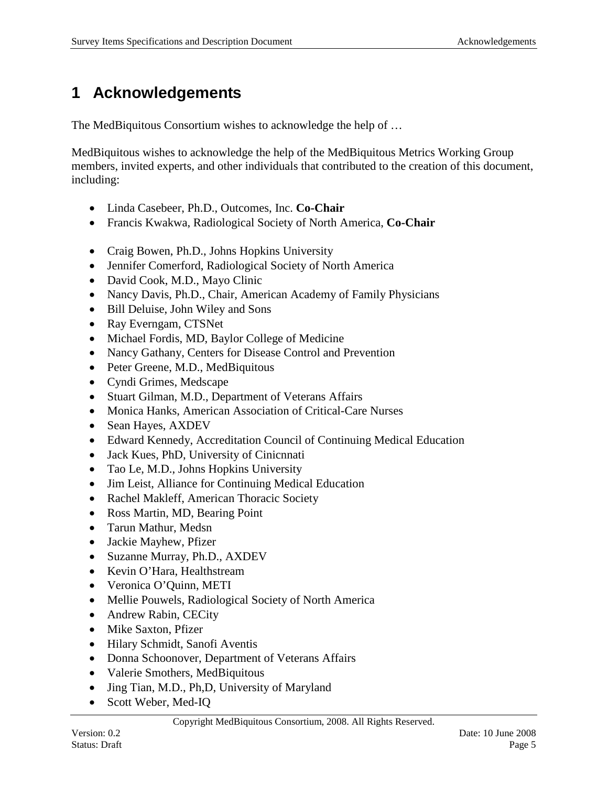## <span id="page-4-0"></span>**1 Acknowledgements**

The MedBiquitous Consortium wishes to acknowledge the help of …

MedBiquitous wishes to acknowledge the help of the MedBiquitous Metrics Working Group members, invited experts, and other individuals that contributed to the creation of this document, including:

- Linda Casebeer, Ph.D., Outcomes, Inc. **Co-Chair**
- Francis Kwakwa, Radiological Society of North America, **Co-Chair**
- Craig Bowen, Ph.D., Johns Hopkins University
- Jennifer Comerford, Radiological Society of North America
- David Cook, M.D., Mayo Clinic
- Nancy Davis, Ph.D., Chair, American Academy of Family Physicians
- Bill Deluise, John Wiley and Sons
- Ray Everngam, CTSNet
- Michael Fordis, MD, Baylor College of Medicine
- Nancy Gathany, Centers for Disease Control and Prevention
- Peter Greene, M.D., MedBiquitous
- Cyndi Grimes, Medscape
- Stuart Gilman, M.D., Department of Veterans Affairs
- Monica Hanks, American Association of Critical-Care Nurses
- Sean Hayes, AXDEV
- Edward Kennedy, Accreditation Council of Continuing Medical Education
- Jack Kues, PhD, University of Cinicnnati
- Tao Le, M.D., Johns Hopkins University
- Jim Leist, Alliance for Continuing Medical Education
- Rachel Makleff, American Thoracic Society
- Ross Martin, MD, Bearing Point
- Tarun Mathur, Medsn
- Jackie Mayhew, Pfizer
- Suzanne Murray, Ph.D., AXDEV
- Kevin O'Hara, Healthstream
- Veronica O'Quinn, METI
- Mellie Pouwels, Radiological Society of North America
- Andrew Rabin, CECity
- Mike Saxton, Pfizer
- Hilary Schmidt, Sanofi Aventis
- Donna Schoonover, Department of Veterans Affairs
- Valerie Smothers, MedBiquitous
- Jing Tian, M.D., Ph,D, University of Maryland
- Scott Weber, Med-IQ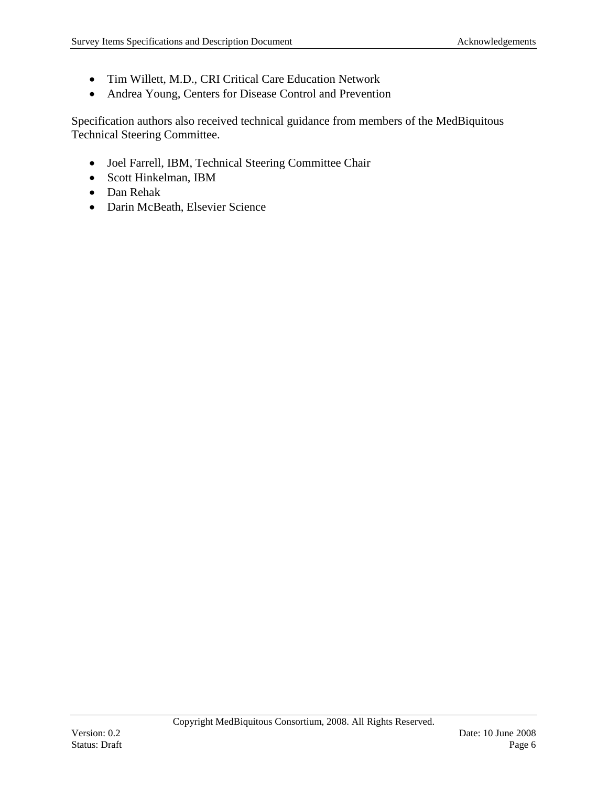- Tim Willett, M.D., CRI Critical Care Education Network
- Andrea Young, Centers for Disease Control and Prevention

Specification authors also received technical guidance from members of the MedBiquitous Technical Steering Committee.

- Joel Farrell, IBM, Technical Steering Committee Chair
- Scott Hinkelman, IBM
- Dan Rehak
- Darin McBeath, Elsevier Science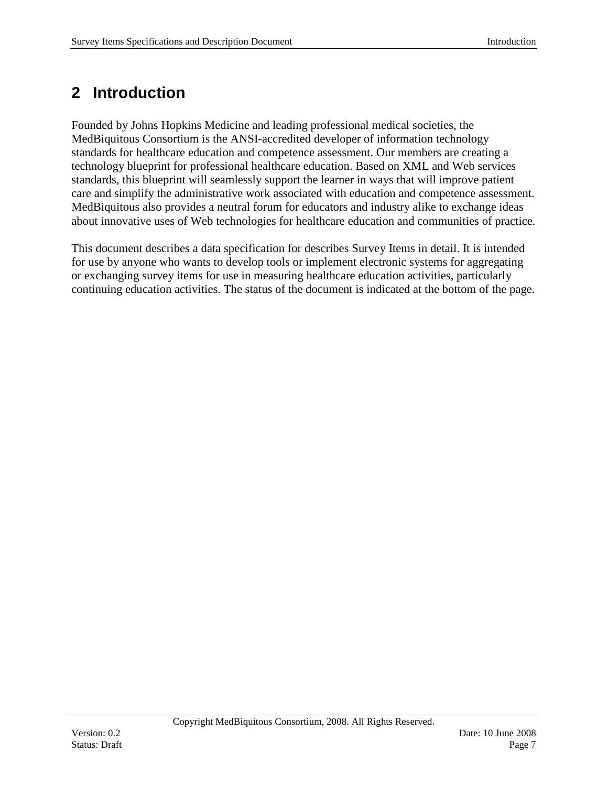## <span id="page-6-0"></span>**2 Introduction**

Founded by Johns Hopkins Medicine and leading professional medical societies, the MedBiquitous Consortium is the ANSI-accredited developer of information technology standards for healthcare education and competence assessment. Our members are creating a technology blueprint for professional healthcare education. Based on XML and Web services standards, this blueprint will seamlessly support the learner in ways that will improve patient care and simplify the administrative work associated with education and competence assessment. MedBiquitous also provides a neutral forum for educators and industry alike to exchange ideas about innovative uses of Web technologies for healthcare education and communities of practice.

This document describes a data specification for describes Survey Items in detail. It is intended for use by anyone who wants to develop tools or implement electronic systems for aggregating or exchanging survey items for use in measuring healthcare education activities, particularly continuing education activities. The status of the document is indicated at the bottom of the page.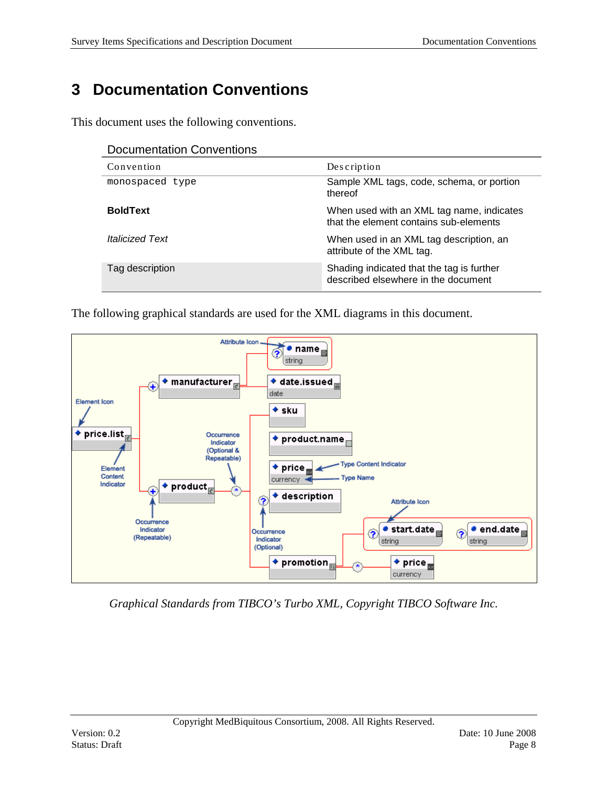## <span id="page-7-0"></span>**3 Documentation Conventions**

This document uses the following conventions.

| <b>Documentation Conventions</b> |                                                                                     |
|----------------------------------|-------------------------------------------------------------------------------------|
| Convention                       | Description                                                                         |
| monospaced type                  | Sample XML tags, code, schema, or portion<br>thereof                                |
| <b>BoldText</b>                  | When used with an XML tag name, indicates<br>that the element contains sub-elements |
| <i><b>Italicized Text</b></i>    | When used in an XML tag description, an<br>attribute of the XML tag.                |
| Tag description                  | Shading indicated that the tag is further<br>described elsewhere in the document    |

The following graphical standards are used for the XML diagrams in this document.



*Graphical Standards from TIBCO's Turbo XML, Copyright TIBCO Software Inc.*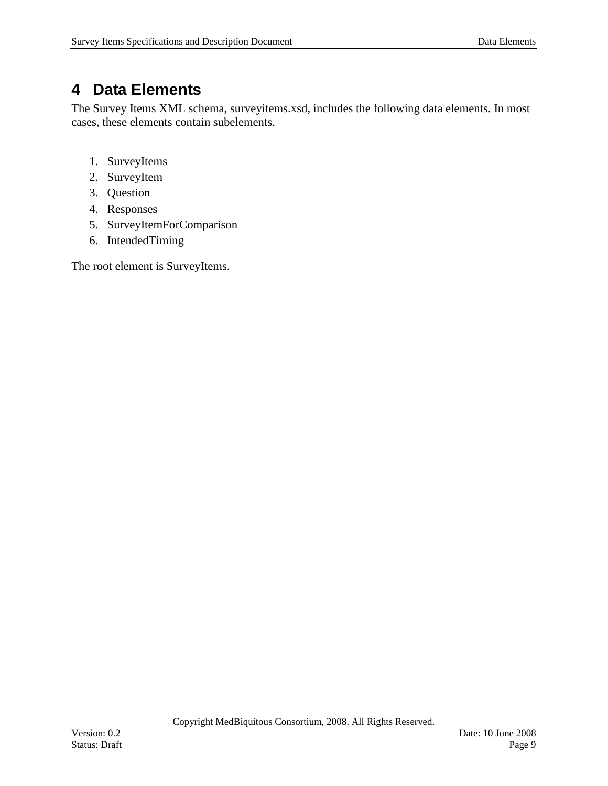## <span id="page-8-0"></span>**4 Data Elements**

The Survey Items XML schema, surveyitems.xsd, includes the following data elements. In most cases, these elements contain subelements.

- 1. SurveyItems
- 2. SurveyItem
- 3. Question
- 4. Responses
- 5. SurveyItemForComparison
- 6. IntendedTiming

The root element is SurveyItems.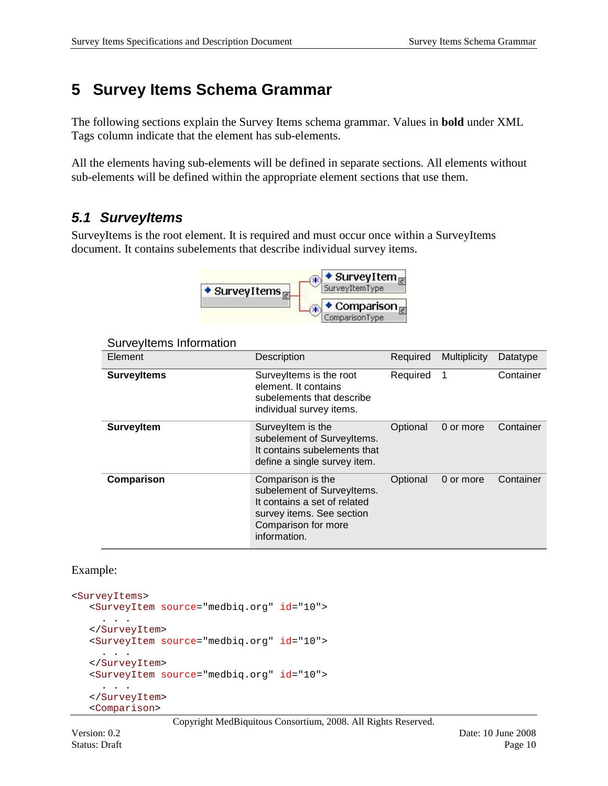## <span id="page-9-0"></span>**5 Survey Items Schema Grammar**

The following sections explain the Survey Items schema grammar. Values in **bold** under XML Tags column indicate that the element has sub-elements.

All the elements having sub-elements will be defined in separate sections. All elements without sub-elements will be defined within the appropriate element sections that use them.

### <span id="page-9-1"></span>*5.1 SurveyItems*

SurveyItems Information

SurveyItems is the root element. It is required and must occur once within a SurveyItems document. It contains subelements that describe individual survey items.



| <b>UUI VU VIIUIIIIU IIIIUIIIIIUIII</b> |                                                                                                                                                     |          |                     |           |
|----------------------------------------|-----------------------------------------------------------------------------------------------------------------------------------------------------|----------|---------------------|-----------|
| Element                                | Description                                                                                                                                         | Required | <b>Multiplicity</b> | Datatype  |
| <b>SurveyItems</b>                     | SurveyItems is the root<br>element. It contains<br>subelements that describe<br>individual survey items.                                            | Required | 1                   | Container |
| <b>SurveyItem</b>                      | SurveyItem is the<br>subelement of SurveyItems.<br>It contains subelements that<br>define a single survey item.                                     | Optional | 0 or more           | Container |
| Comparison                             | Comparison is the<br>subelement of SurveyItems.<br>It contains a set of related<br>survey items. See section<br>Comparison for more<br>information. | Optional | 0 or more           | Container |

# Example:

```
<SurveyItems>
   <SurveyItem source="medbiq.org" id="10">
      . . .
   </SurveyItem>
   <SurveyItem source="medbiq.org" id="10">
      . . .
   </SurveyItem>
   <SurveyItem source="medbiq.org" id="10">
     . . .
   </SurveyItem>
   <Comparison>
```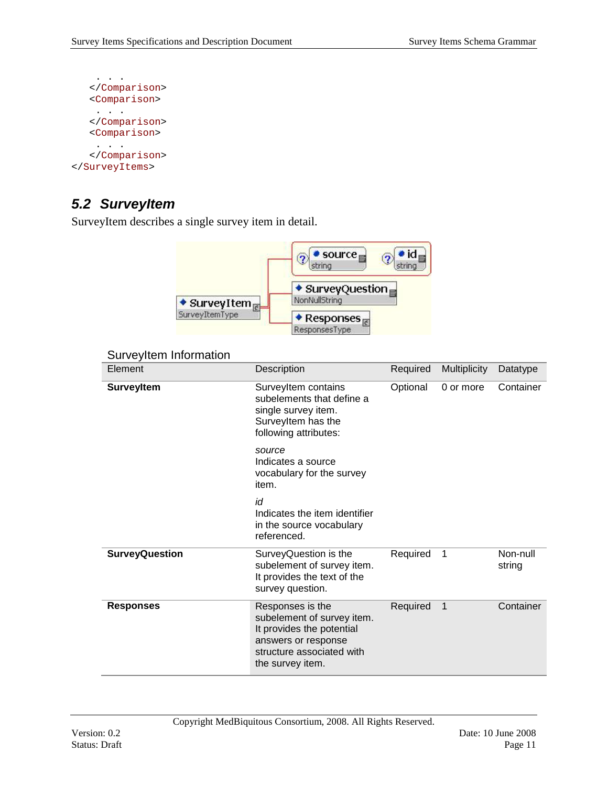

### <span id="page-10-0"></span>*5.2 SurveyItem*

SurveyItem describes a single survey item in detail.



#### SurveyItem Information

| Element               | Description                                                                                                                                         | Required | <b>Multiplicity</b> | Datatype           |
|-----------------------|-----------------------------------------------------------------------------------------------------------------------------------------------------|----------|---------------------|--------------------|
| <b>SurveyItem</b>     | SurveyItem contains<br>subelements that define a<br>single survey item.<br>SurveyItem has the<br>following attributes:                              | Optional | 0 or more           | Container          |
|                       | source<br>Indicates a source<br>vocabulary for the survey<br>item.                                                                                  |          |                     |                    |
|                       | id<br>Indicates the item identifier<br>in the source vocabulary<br>referenced.                                                                      |          |                     |                    |
| <b>SurveyQuestion</b> | SurveyQuestion is the<br>subelement of survey item.<br>It provides the text of the<br>survey question.                                              | Required | $\mathbf 1$         | Non-null<br>string |
| <b>Responses</b>      | Responses is the<br>subelement of survey item.<br>It provides the potential<br>answers or response<br>structure associated with<br>the survey item. | Required | $\mathbf{1}$        | Container          |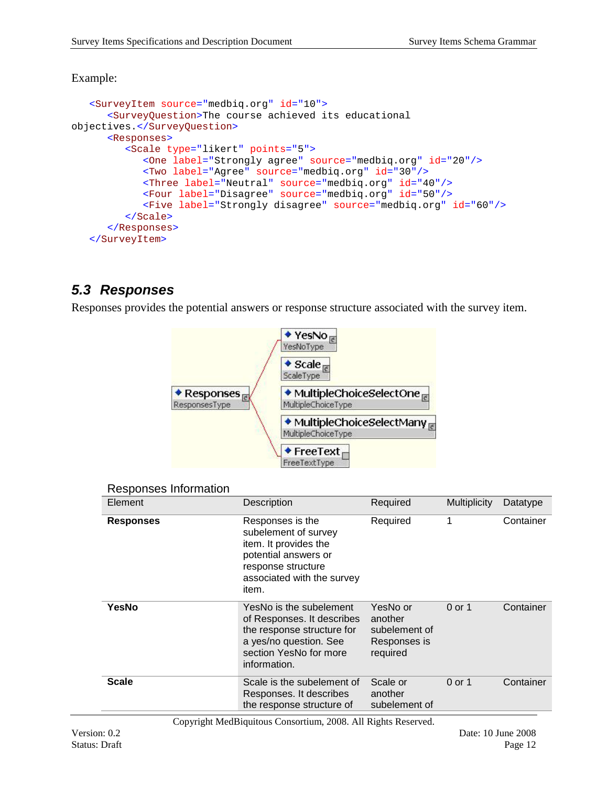```
<SurveyItem source="medbiq.org" id="10">
      <SurveyQuestion>The course achieved its educational 
objectives.</SurveyQuestion>
      <Responses>
         <Scale type="likert" points="5">
            <One label="Strongly agree" source="medbiq.org" id="20"/>
            <Two label="Agree" source="medbiq.org" id="30"/>
            <Three label="Neutral" source="medbiq.org" id="40"/>
            <Four label="Disagree" source="medbiq.org" id="50"/>
            <Five label="Strongly disagree" source="medbiq.org" id="60"/>
         </Scale>
      </Responses>
   </SurveyItem>
```
### <span id="page-11-0"></span>*5.3 Responses*

Responses provides the potential answers or response structure associated with the survey item.



#### Responses Information

| Element          | Description                                                                                                                                             | Required                                                         | <b>Multiplicity</b> | Datatype  |
|------------------|---------------------------------------------------------------------------------------------------------------------------------------------------------|------------------------------------------------------------------|---------------------|-----------|
| <b>Responses</b> | Responses is the<br>subelement of survey<br>item. It provides the<br>potential answers or<br>response structure<br>associated with the survey<br>item.  | Required                                                         | 1                   | Container |
| YesNo            | YesNo is the subelement<br>of Responses. It describes<br>the response structure for<br>a yes/no question. See<br>section YesNo for more<br>information. | YesNo or<br>another<br>subelement of<br>Responses is<br>required | 0 or 1              | Container |
| <b>Scale</b>     | Scale is the subelement of<br>Responses. It describes<br>the response structure of                                                                      | Scale or<br>another<br>subelement of                             | 0 or 1              | Container |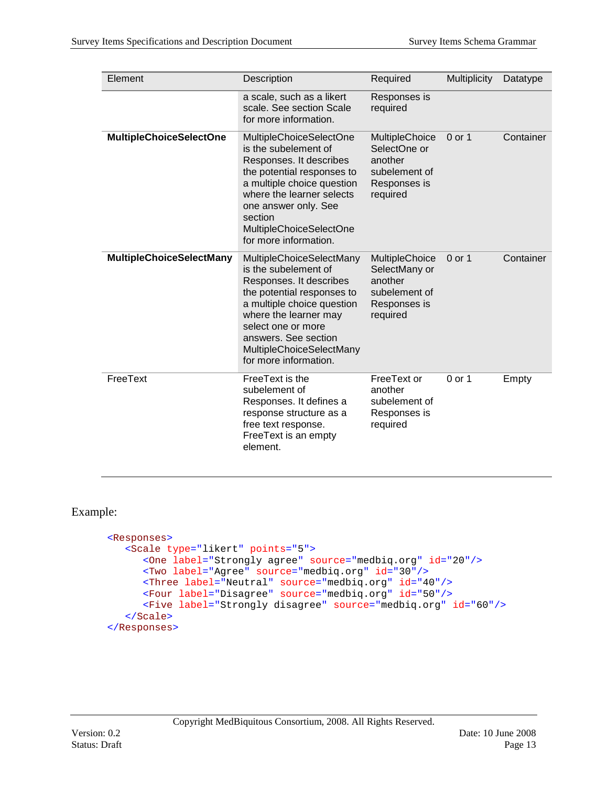| Element                         | Description                                                                                                                                                                                                                                                                       | Required                                                                                       | <b>Multiplicity</b> | Datatype  |
|---------------------------------|-----------------------------------------------------------------------------------------------------------------------------------------------------------------------------------------------------------------------------------------------------------------------------------|------------------------------------------------------------------------------------------------|---------------------|-----------|
|                                 | a scale, such as a likert<br>scale. See section Scale<br>for more information.                                                                                                                                                                                                    | Responses is<br>required                                                                       |                     |           |
| <b>MultipleChoiceSelectOne</b>  | MultipleChoiceSelectOne<br>is the subelement of<br>Responses. It describes<br>the potential responses to<br>a multiple choice question<br>where the learner selects<br>one answer only. See<br>section<br>MultipleChoiceSelectOne<br>for more information.                        | <b>MultipleChoice</b><br>SelectOne or<br>another<br>subelement of<br>Responses is<br>required  | 0 or 1              | Container |
| <b>MultipleChoiceSelectMany</b> | <b>MultipleChoiceSelectMany</b><br>is the subelement of<br>Responses. It describes<br>the potential responses to<br>a multiple choice question<br>where the learner may<br>select one or more<br>answers. See section<br><b>MultipleChoiceSelectMany</b><br>for more information. | <b>MultipleChoice</b><br>SelectMany or<br>another<br>subelement of<br>Responses is<br>required | 0 or 1              | Container |
| FreeText                        | FreeText is the<br>subelement of<br>Responses. It defines a<br>response structure as a<br>free text response.<br>FreeText is an empty<br>element.                                                                                                                                 | FreeText or<br>another<br>subelement of<br>Responses is<br>required                            | 0 or 1              | Empty     |

```
<Responses>
   <Scale type="likert" points="5">
      <One label="Strongly agree" source="medbiq.org" id="20"/>
     <Two label="Agree" source="medbiq.org" id="30"/>
     <Three label="Neutral" source="medbiq.org" id="40"/>
     <Four label="Disagree" source="medbiq.org" id="50"/>
     <Five label="Strongly disagree" source="medbiq.org" id="60"/>
   </Scale>
</Responses>
```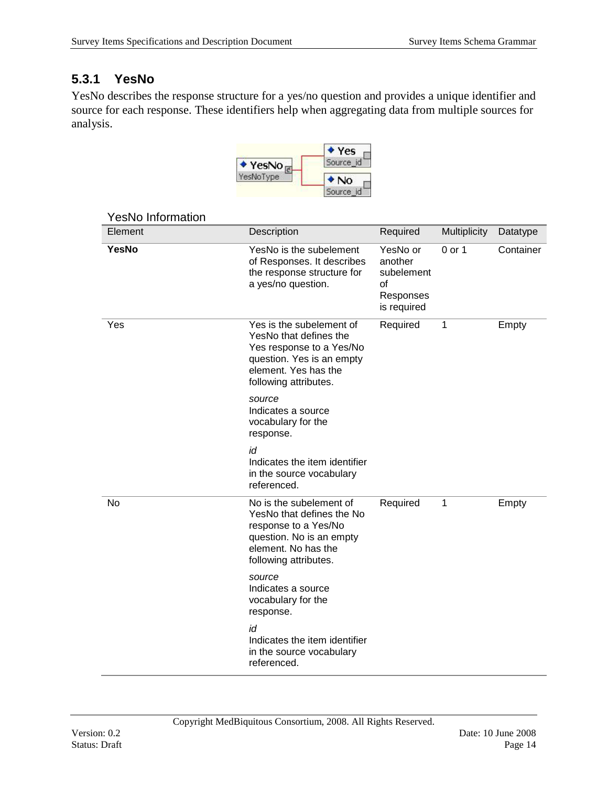### **5.3.1 YesNo**

<span id="page-13-0"></span>YesNo describes the response structure for a yes/no question and provides a unique identifier and source for each response. These identifiers help when aggregating data from multiple sources for analysis.



#### YesNo Information

| Element | Description                                                                                                                                                  | Required                                                            | Multiplicity | Datatype  |
|---------|--------------------------------------------------------------------------------------------------------------------------------------------------------------|---------------------------------------------------------------------|--------------|-----------|
| YesNo   | YesNo is the subelement<br>of Responses. It describes<br>the response structure for<br>a yes/no question.                                                    | YesNo or<br>another<br>subelement<br>of<br>Responses<br>is required | 0 or 1       | Container |
| Yes     | Yes is the subelement of<br>YesNo that defines the<br>Yes response to a Yes/No<br>question. Yes is an empty<br>element. Yes has the<br>following attributes. | Required                                                            | 1            | Empty     |
|         | source<br>Indicates a source<br>vocabulary for the<br>response.                                                                                              |                                                                     |              |           |
|         | id<br>Indicates the item identifier<br>in the source vocabulary<br>referenced.                                                                               |                                                                     |              |           |
| No      | No is the subelement of<br>YesNo that defines the No<br>response to a Yes/No<br>question. No is an empty<br>element. No has the<br>following attributes.     | Required                                                            | 1            | Empty     |
|         | source<br>Indicates a source<br>vocabulary for the<br>response.                                                                                              |                                                                     |              |           |
|         | id<br>Indicates the item identifier<br>in the source vocabulary<br>referenced.                                                                               |                                                                     |              |           |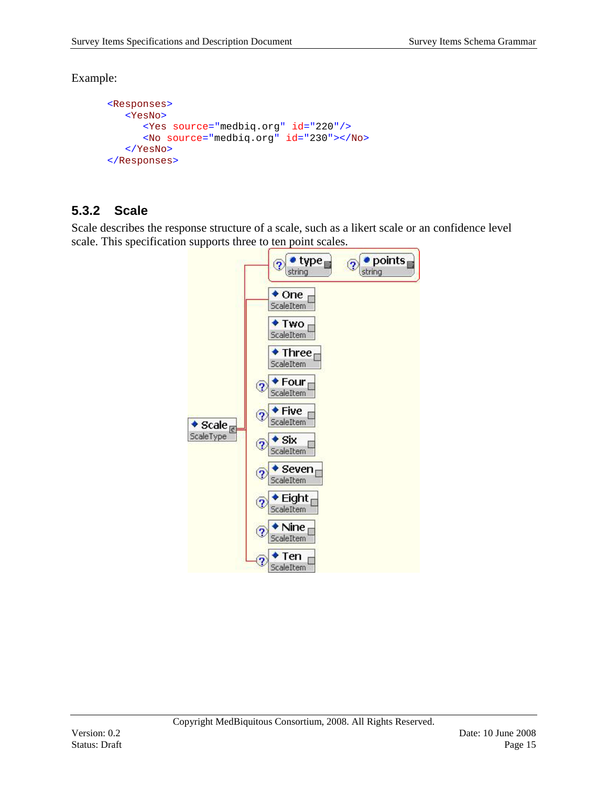```
<Responses>
   <YesNo>
      <Yes source="medbiq.org" id="220"/>
      <No source="medbiq.org" id="230"></No>
   </YesNo>
</Responses>
```
### <span id="page-14-0"></span>**5.3.2 Scale**

Scale describes the response structure of a scale, such as a likert scale or an confidence level scale. This specification supports three to ten point scales.

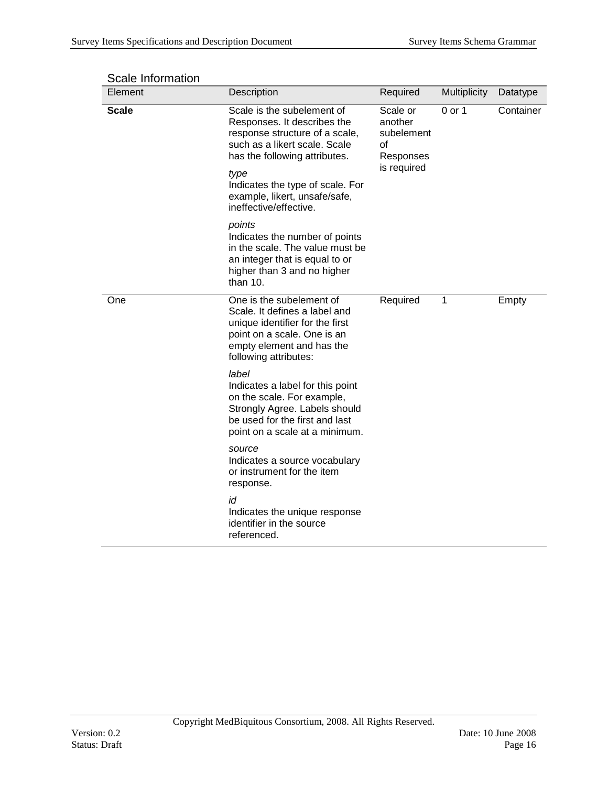| ייטעוט וויטוווימנוטוו<br>Element | Description                                                                                                                                                                       | Required                                                            | <b>Multiplicity</b> |           |
|----------------------------------|-----------------------------------------------------------------------------------------------------------------------------------------------------------------------------------|---------------------------------------------------------------------|---------------------|-----------|
|                                  |                                                                                                                                                                                   |                                                                     |                     | Datatype  |
| <b>Scale</b>                     | Scale is the subelement of<br>Responses. It describes the<br>response structure of a scale,<br>such as a likert scale. Scale<br>has the following attributes.                     | Scale or<br>another<br>subelement<br>οf<br>Responses<br>is required | $0$ or 1            | Container |
|                                  | type<br>Indicates the type of scale. For<br>example, likert, unsafe/safe,<br>ineffective/effective.                                                                               |                                                                     |                     |           |
|                                  | points<br>Indicates the number of points<br>in the scale. The value must be<br>an integer that is equal to or<br>higher than 3 and no higher<br>than $10.$                        |                                                                     |                     |           |
| One                              | One is the subelement of<br>Scale. It defines a label and<br>unique identifier for the first<br>point on a scale. One is an<br>empty element and has the<br>following attributes: | Required                                                            | 1                   | Empty     |
|                                  | label<br>Indicates a label for this point<br>on the scale. For example,<br>Strongly Agree. Labels should<br>be used for the first and last<br>point on a scale at a minimum.      |                                                                     |                     |           |
|                                  | source<br>Indicates a source vocabulary<br>or instrument for the item<br>response.                                                                                                |                                                                     |                     |           |
|                                  | id<br>Indicates the unique response<br>identifier in the source<br>referenced.                                                                                                    |                                                                     |                     |           |

Scale Information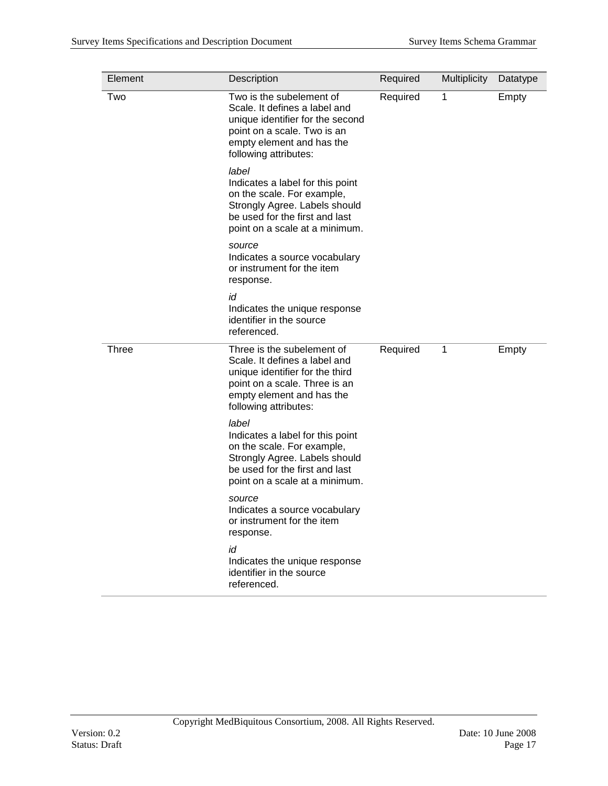| Element | Description                                                                                                                                                                           | Required | <b>Multiplicity</b> | Datatype |
|---------|---------------------------------------------------------------------------------------------------------------------------------------------------------------------------------------|----------|---------------------|----------|
| Two     | Two is the subelement of<br>Scale. It defines a label and<br>unique identifier for the second<br>point on a scale. Two is an<br>empty element and has the<br>following attributes:    | Required | 1                   | Empty    |
|         | label<br>Indicates a label for this point<br>on the scale. For example,<br>Strongly Agree. Labels should<br>be used for the first and last<br>point on a scale at a minimum.          |          |                     |          |
|         | source<br>Indicates a source vocabulary<br>or instrument for the item<br>response.                                                                                                    |          |                     |          |
|         | id<br>Indicates the unique response<br>identifier in the source<br>referenced.                                                                                                        |          |                     |          |
| Three   | Three is the subelement of<br>Scale. It defines a label and<br>unique identifier for the third<br>point on a scale. Three is an<br>empty element and has the<br>following attributes: | Required | 1                   | Empty    |
|         | label<br>Indicates a label for this point<br>on the scale. For example,<br>Strongly Agree. Labels should<br>be used for the first and last<br>point on a scale at a minimum.          |          |                     |          |
|         | source<br>Indicates a source vocabulary<br>or instrument for the item<br>response.                                                                                                    |          |                     |          |
|         | id<br>Indicates the unique response<br>identifier in the source<br>referenced.                                                                                                        |          |                     |          |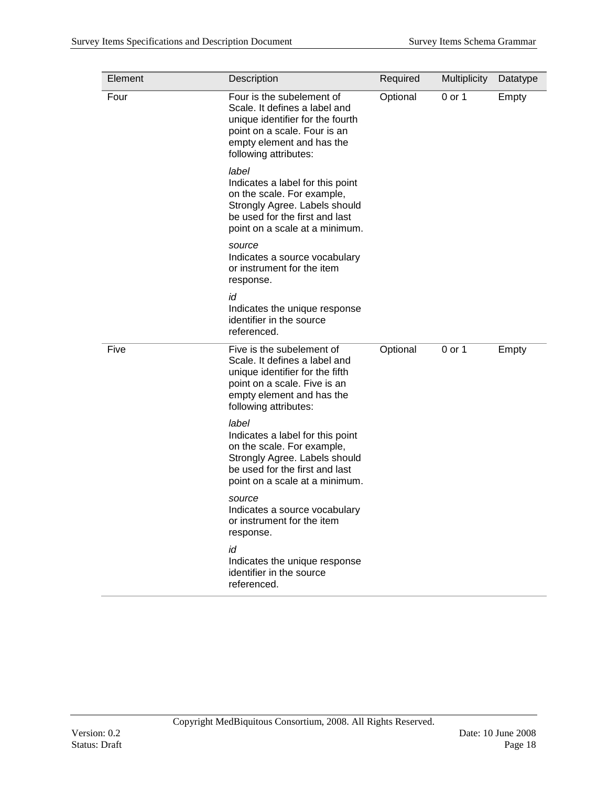| Element | Description                                                                                                                                                                          | Required | <b>Multiplicity</b> | Datatype |
|---------|--------------------------------------------------------------------------------------------------------------------------------------------------------------------------------------|----------|---------------------|----------|
| Four    | Four is the subelement of<br>Scale. It defines a label and<br>unique identifier for the fourth<br>point on a scale. Four is an<br>empty element and has the<br>following attributes: | Optional | 0 or 1              | Empty    |
|         | label<br>Indicates a label for this point<br>on the scale. For example,<br>Strongly Agree. Labels should<br>be used for the first and last<br>point on a scale at a minimum.         |          |                     |          |
|         | source<br>Indicates a source vocabulary<br>or instrument for the item<br>response.                                                                                                   |          |                     |          |
|         | id<br>Indicates the unique response<br>identifier in the source<br>referenced.                                                                                                       |          |                     |          |
| Five    | Five is the subelement of<br>Scale. It defines a label and<br>unique identifier for the fifth<br>point on a scale. Five is an<br>empty element and has the<br>following attributes:  | Optional | 0 or 1              | Empty    |
|         | label<br>Indicates a label for this point<br>on the scale. For example,<br>Strongly Agree. Labels should<br>be used for the first and last<br>point on a scale at a minimum.         |          |                     |          |
|         | source<br>Indicates a source vocabulary<br>or instrument for the item<br>response.                                                                                                   |          |                     |          |
|         | id<br>Indicates the unique response<br>identifier in the source<br>referenced.                                                                                                       |          |                     |          |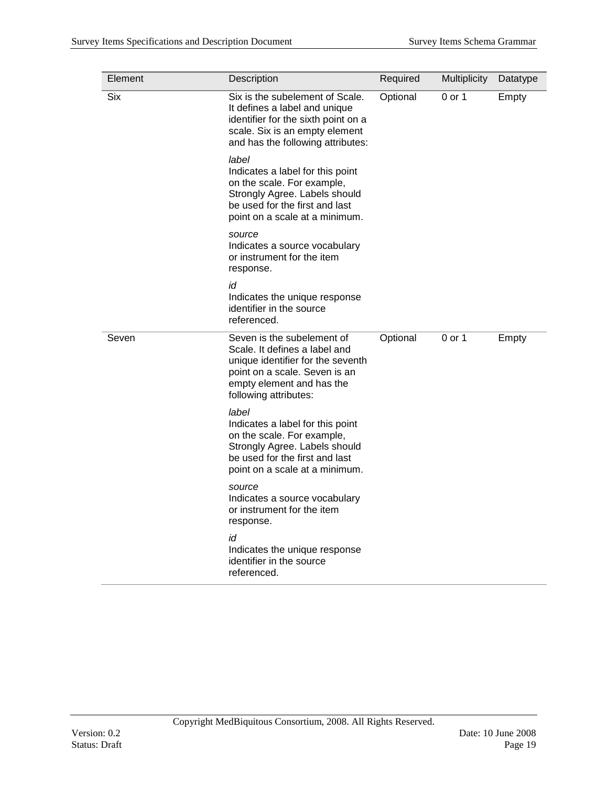| Element | Description                                                                                                                                                                             | Required | Multiplicity | Datatype |
|---------|-----------------------------------------------------------------------------------------------------------------------------------------------------------------------------------------|----------|--------------|----------|
| Six     | Six is the subelement of Scale.<br>It defines a label and unique<br>identifier for the sixth point on a<br>scale. Six is an empty element<br>and has the following attributes:          | Optional | 0 or 1       | Empty    |
|         | label<br>Indicates a label for this point<br>on the scale. For example,<br>Strongly Agree. Labels should<br>be used for the first and last<br>point on a scale at a minimum.            |          |              |          |
|         | source<br>Indicates a source vocabulary<br>or instrument for the item<br>response.                                                                                                      |          |              |          |
|         | id<br>Indicates the unique response<br>identifier in the source<br>referenced.                                                                                                          |          |              |          |
| Seven   | Seven is the subelement of<br>Scale. It defines a label and<br>unique identifier for the seventh<br>point on a scale. Seven is an<br>empty element and has the<br>following attributes: | Optional | 0 or 1       | Empty    |
|         | label<br>Indicates a label for this point<br>on the scale. For example,<br>Strongly Agree. Labels should<br>be used for the first and last<br>point on a scale at a minimum.            |          |              |          |
|         | source<br>Indicates a source vocabulary<br>or instrument for the item<br>response.                                                                                                      |          |              |          |
|         | id<br>Indicates the unique response<br>identifier in the source<br>referenced.                                                                                                          |          |              |          |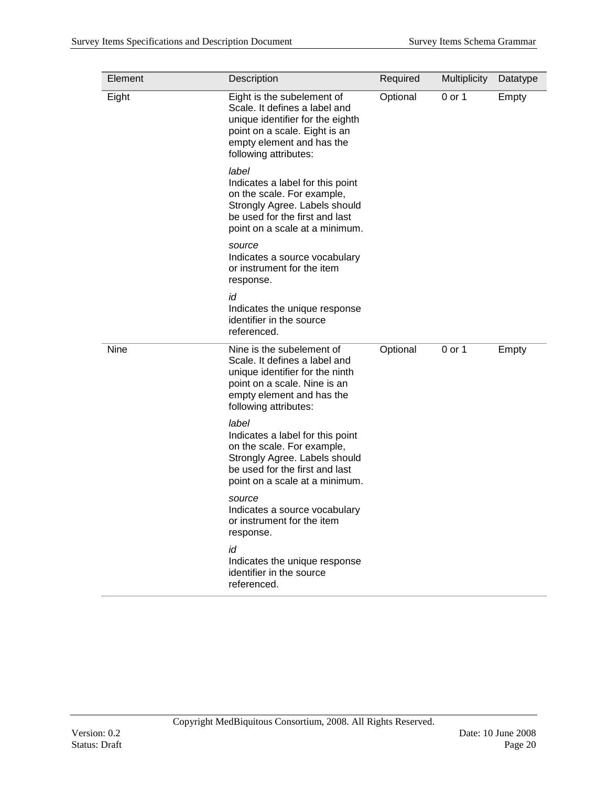| Element | Description                                                                                                                                                                            | Required | <b>Multiplicity</b> | Datatype |
|---------|----------------------------------------------------------------------------------------------------------------------------------------------------------------------------------------|----------|---------------------|----------|
| Eight   | Eight is the subelement of<br>Scale. It defines a label and<br>unique identifier for the eighth<br>point on a scale. Eight is an<br>empty element and has the<br>following attributes: | Optional | 0 or 1              | Empty    |
|         | label<br>Indicates a label for this point<br>on the scale. For example,<br>Strongly Agree. Labels should<br>be used for the first and last<br>point on a scale at a minimum.           |          |                     |          |
|         | source<br>Indicates a source vocabulary<br>or instrument for the item<br>response.                                                                                                     |          |                     |          |
|         | id<br>Indicates the unique response<br>identifier in the source<br>referenced.                                                                                                         |          |                     |          |
| Nine    | Nine is the subelement of<br>Scale. It defines a label and<br>unique identifier for the ninth<br>point on a scale. Nine is an<br>empty element and has the<br>following attributes:    | Optional | 0 or 1              | Empty    |
|         | label<br>Indicates a label for this point<br>on the scale. For example,<br>Strongly Agree. Labels should<br>be used for the first and last<br>point on a scale at a minimum.           |          |                     |          |
|         | source<br>Indicates a source vocabulary<br>or instrument for the item<br>response.                                                                                                     |          |                     |          |
|         | id<br>Indicates the unique response<br>identifier in the source<br>referenced.                                                                                                         |          |                     |          |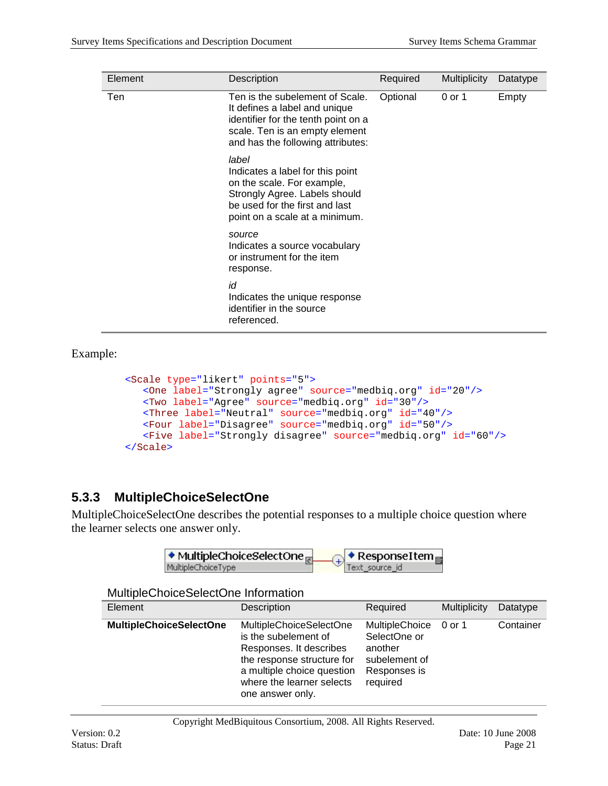| Element | Description                                                                                                                                                                    | Required | <b>Multiplicity</b> | Datatype |
|---------|--------------------------------------------------------------------------------------------------------------------------------------------------------------------------------|----------|---------------------|----------|
| Ten     | Ten is the subelement of Scale.<br>It defines a label and unique<br>identifier for the tenth point on a<br>scale. Ten is an empty element<br>and has the following attributes: | Optional | 0 or 1              | Empty    |
|         | label<br>Indicates a label for this point<br>on the scale. For example,<br>Strongly Agree. Labels should<br>be used for the first and last<br>point on a scale at a minimum.   |          |                     |          |
|         | source<br>Indicates a source vocabulary<br>or instrument for the item<br>response.                                                                                             |          |                     |          |
|         | id<br>Indicates the unique response<br>identifier in the source<br>referenced.                                                                                                 |          |                     |          |

```
<Scale type="likert" points="5">
  <One label="Strongly agree" source="medbiq.org" id="20"/>
  <Two label="Agree" source="medbiq.org" id="30"/>
  <Three label="Neutral" source="medbiq.org" id="40"/>
  <Four label="Disagree" source="medbiq.org" id="50"/>
   <Five label="Strongly disagree" source="medbiq.org" id="60"/>
</Scale>
```
### <span id="page-20-0"></span>**5.3.3 MultipleChoiceSelectOne**

MultipleChoiceSelectOne describes the potential responses to a multiple choice question where the learner selects one answer only.



#### MultipleChoiceSelectOne Information

| Element                        | Description                                                                                                                                                                             | Required                                                                               | <b>Multiplicity</b> | Datatype  |
|--------------------------------|-----------------------------------------------------------------------------------------------------------------------------------------------------------------------------------------|----------------------------------------------------------------------------------------|---------------------|-----------|
| <b>MultipleChoiceSelectOne</b> | MultipleChoiceSelectOne<br>is the subelement of<br>Responses. It describes<br>the response structure for<br>a multiple choice question<br>where the learner selects<br>one answer only. | MultipleChoice<br>SelectOne or<br>another<br>subelement of<br>Responses is<br>required | 0 or 1              | Container |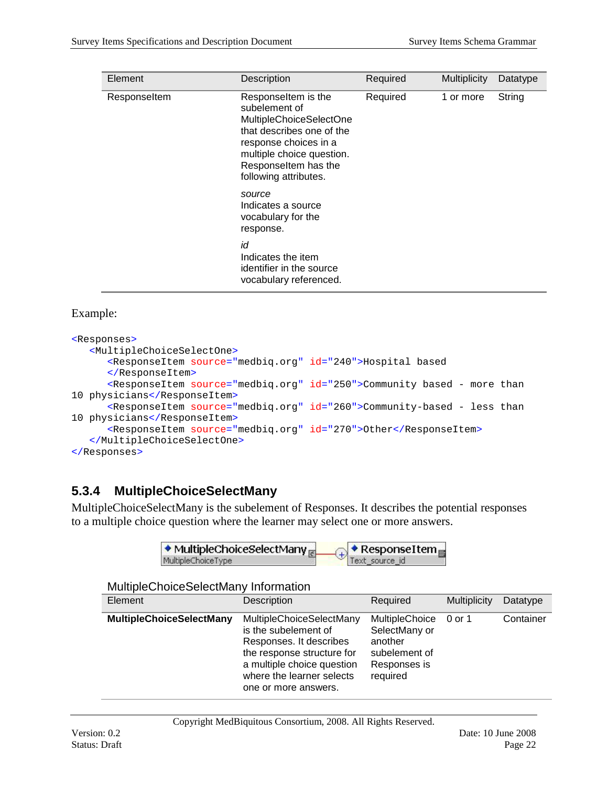| Element      | Description                                                                                                                                                                                         | Required | <b>Multiplicity</b> | Datatype |
|--------------|-----------------------------------------------------------------------------------------------------------------------------------------------------------------------------------------------------|----------|---------------------|----------|
| Responseltem | Responseltem is the<br>subelement of<br>MultipleChoiceSelectOne<br>that describes one of the<br>response choices in a<br>multiple choice question.<br>Responseltem has the<br>following attributes. | Required | 1 or more           | String   |
|              | source<br>Indicates a source<br>vocabulary for the<br>response.                                                                                                                                     |          |                     |          |
|              | id<br>Indicates the item<br>identifier in the source<br>vocabulary referenced.                                                                                                                      |          |                     |          |

```
<Responses>
   <MultipleChoiceSelectOne>
      <ResponseItem source="medbiq.org" id="240">Hospital based
      </ResponseItem>
      \leqResponseItem source="medbiq.org" id="250">Community based - more than
10 physicians</ResponseItem>
      <ResponseItem source="medbiq.org" id="260">Community-based - less than 
10 physicians</ResponseItem>
      <ResponseItem source="medbiq.org" id="270">Other</ResponseItem>
   </MultipleChoiceSelectOne>
</Responses>
```
### <span id="page-21-0"></span>**5.3.4 MultipleChoiceSelectMany**

MultipleChoiceSelectMany is the subelement of Responses. It describes the potential responses to a multiple choice question where the learner may select one or more answers.

| MultipleChoiceType                   | $\blacklozenge$ MultipleChoiceSelectMany<br>$+$                                                                                                                                                     | $\blacklozenge$ ResponseItem $_{\boxplus}$<br>Text_source_id                                   |              |           |
|--------------------------------------|-----------------------------------------------------------------------------------------------------------------------------------------------------------------------------------------------------|------------------------------------------------------------------------------------------------|--------------|-----------|
| MultipleChoiceSelectMany Information |                                                                                                                                                                                                     |                                                                                                |              |           |
| Element                              | Description                                                                                                                                                                                         | Required                                                                                       | Multiplicity | Datatype  |
| <b>MultipleChoiceSelectMany</b>      | <b>MultipleChoiceSelectMany</b><br>is the subelement of<br>Responses. It describes<br>the response structure for<br>a multiple choice question<br>where the learner selects<br>one or more answers. | MultipleChoice 0 or 1<br>SelectMany or<br>another<br>subelement of<br>Responses is<br>required |              | Container |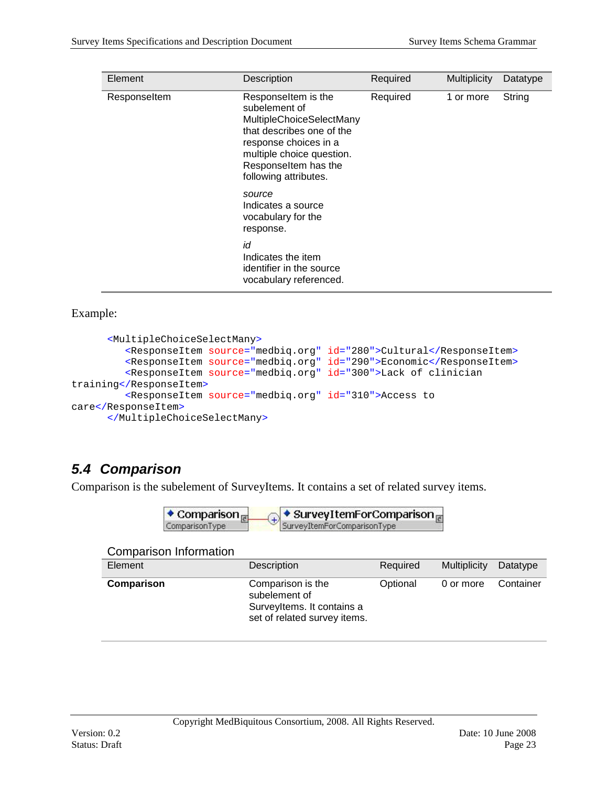| Element      | Description                                                                                                                                                                                          | Required | <b>Multiplicity</b> | Datatype |
|--------------|------------------------------------------------------------------------------------------------------------------------------------------------------------------------------------------------------|----------|---------------------|----------|
| Responseltem | Responseltem is the<br>subelement of<br>MultipleChoiceSelectMany<br>that describes one of the<br>response choices in a<br>multiple choice question.<br>Responseltem has the<br>following attributes. | Required | 1 or more           | String   |
|              | source<br>Indicates a source<br>vocabulary for the<br>response.                                                                                                                                      |          |                     |          |
|              | id<br>Indicates the item<br>identifier in the source<br>vocabulary referenced.                                                                                                                       |          |                     |          |

```
<MultipleChoiceSelectMany>
         <ResponseItem source="medbiq.org" id="280">Cultural</ResponseItem>
         <ResponseItem source="medbiq.org" id="290">Economic</ResponseItem>
         <ResponseItem source="medbiq.org" id="300">Lack of clinician 
training</ResponseItem>
         <ResponseItem source="medbiq.org" id="310">Access to 
care</ResponseItem>
      </MultipleChoiceSelectMany>
```
### <span id="page-22-0"></span>*5.4 Comparison*

Comparison is the subelement of SurveyItems. It contains a set of related survey items.

| ↓ Comparison   | ● SurveyItemForComparison <sub>ie</sub> |
|----------------|-----------------------------------------|
| ComparisonType | SurveyItemForComparisonType             |

#### Comparison Information

| Element    | Description                                                                                      | Required | Multiplicity | Datatype  |
|------------|--------------------------------------------------------------------------------------------------|----------|--------------|-----------|
| Comparison | Comparison is the<br>subelement of<br>SurveyItems. It contains a<br>set of related survey items. | Optional | 0 or more    | Container |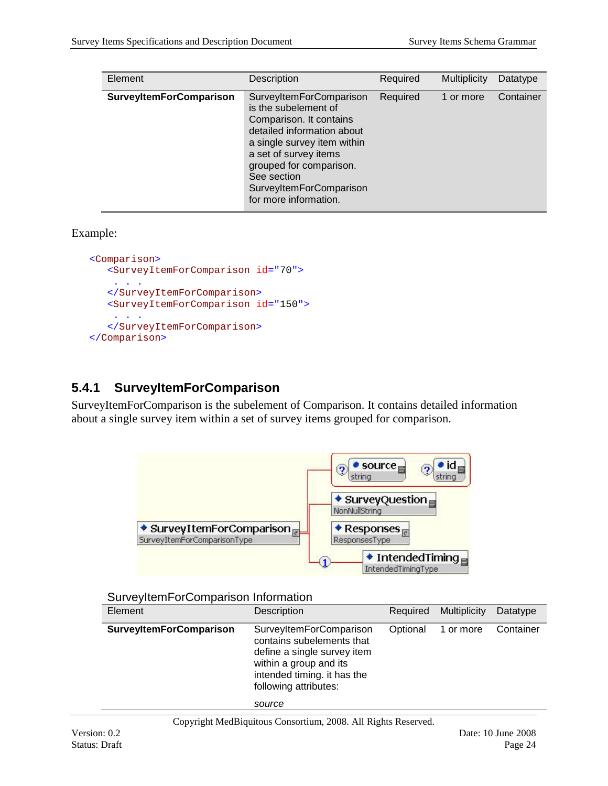| Element                        | Description                                                                                                                                                                                                                                                           | Required | <b>Multiplicity</b> | Datatype  |
|--------------------------------|-----------------------------------------------------------------------------------------------------------------------------------------------------------------------------------------------------------------------------------------------------------------------|----------|---------------------|-----------|
| <b>SurveyItemForComparison</b> | SurveyItemForComparison<br>is the subelement of<br>Comparison. It contains<br>detailed information about<br>a single survey item within<br>a set of survey items<br>grouped for comparison.<br>See section<br><b>SurveyItemForComparison</b><br>for more information. | Required | 1 or more           | Container |

```
<Comparison>
   <SurveyItemForComparison id="70">
    . . .
   </SurveyItemForComparison>
   <SurveyItemForComparison id="150">
    . . .
   </SurveyItemForComparison>
</Comparison>
```
### <span id="page-23-0"></span>**5.4.1 SurveyItemForComparison**

SurveyItemForComparison is the subelement of Comparison. It contains detailed information about a single survey item within a set of survey items grouped for comparison.



#### SurveyItemForComparison Information

| Element                        | Description                                                                                                                                                                     | Required | Multiplicity | Datatype  |
|--------------------------------|---------------------------------------------------------------------------------------------------------------------------------------------------------------------------------|----------|--------------|-----------|
| <b>SurveyItemForComparison</b> | SurveyItemForComparison<br>contains subelements that<br>define a single survey item<br>within a group and its<br>intended timing. it has the<br>following attributes:<br>source | Optional | 1 or more    | Container |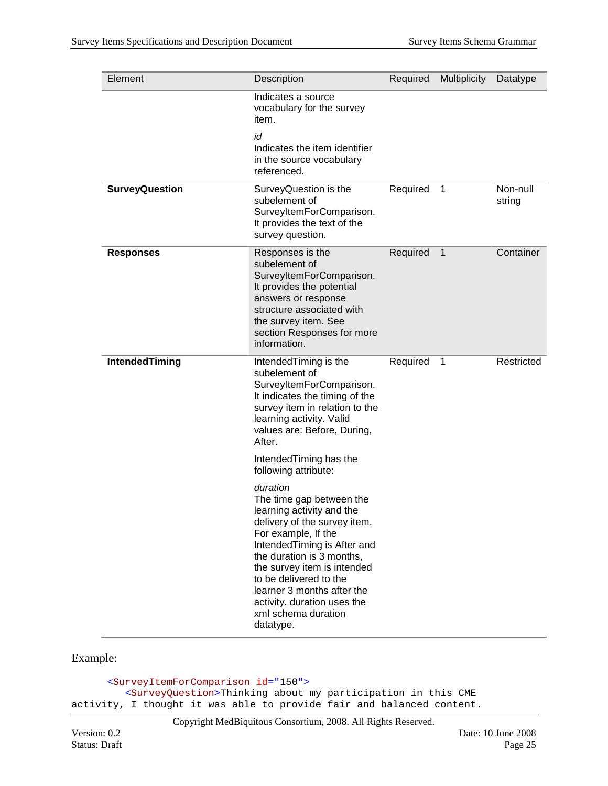| Element               | Description                                                                                                                                                                                                                                                                                                                                    | Required | Multiplicity | Datatype           |
|-----------------------|------------------------------------------------------------------------------------------------------------------------------------------------------------------------------------------------------------------------------------------------------------------------------------------------------------------------------------------------|----------|--------------|--------------------|
|                       | Indicates a source<br>vocabulary for the survey<br>item.                                                                                                                                                                                                                                                                                       |          |              |                    |
|                       | id<br>Indicates the item identifier<br>in the source vocabulary<br>referenced.                                                                                                                                                                                                                                                                 |          |              |                    |
| <b>SurveyQuestion</b> | SurveyQuestion is the<br>subelement of<br>SurveyItemForComparison.<br>It provides the text of the<br>survey question.                                                                                                                                                                                                                          | Required | 1            | Non-null<br>string |
| <b>Responses</b>      | Responses is the<br>subelement of<br>SurveyItemForComparison.<br>It provides the potential<br>answers or response<br>structure associated with<br>the survey item. See<br>section Responses for more<br>information.                                                                                                                           | Required | $\mathbf{1}$ | Container          |
| IntendedTiming        | Intended Timing is the<br>subelement of<br>SurveyItemForComparison.<br>It indicates the timing of the<br>survey item in relation to the<br>learning activity. Valid<br>values are: Before, During,<br>After.                                                                                                                                   | Required | 1            | Restricted         |
|                       | Intended Timing has the<br>following attribute:                                                                                                                                                                                                                                                                                                |          |              |                    |
|                       | duration<br>The time gap between the<br>learning activity and the<br>delivery of the survey item.<br>For example, If the<br>IntendedTiming is After and<br>the duration is 3 months,<br>the survey item is intended<br>to be delivered to the<br>learner 3 months after the<br>activity. duration uses the<br>xml schema duration<br>datatype. |          |              |                    |

```
<SurveyItemForComparison id="150">
         <SurveyQuestion>Thinking about my participation in this CME 
activity, I thought it was able to provide fair and balanced content.
```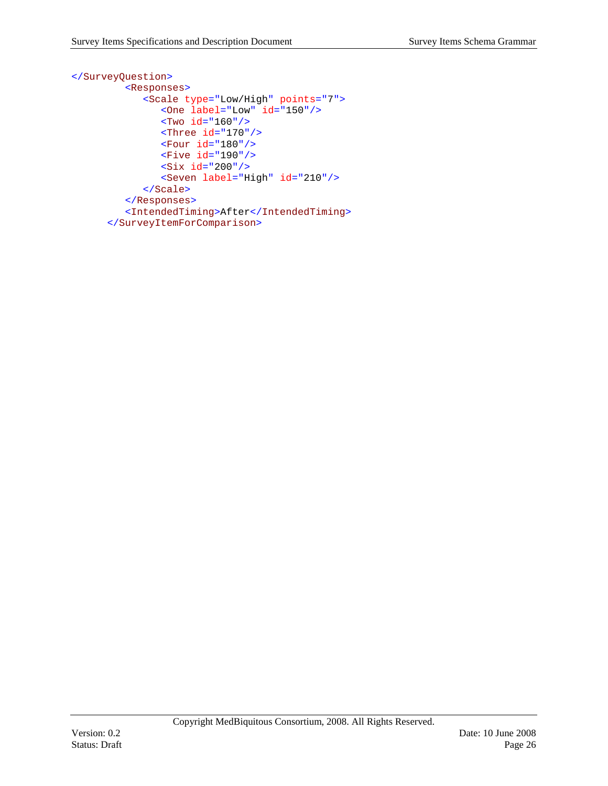```
</SurveyQuestion>
         <Responses>
            <Scale type="Low/High" points="7">
               \text{Cone label} = "Low" id = "150"<Two id="160"/>
               <Three id="170"/>
               <Four id="180"/>
               <Five id="190"/>
               <Six id="200"/>
               <Seven label="High" id="210"/>
            </Scale>
         </Responses>
         <IntendedTiming>After</IntendedTiming>
      </SurveyItemForComparison>
```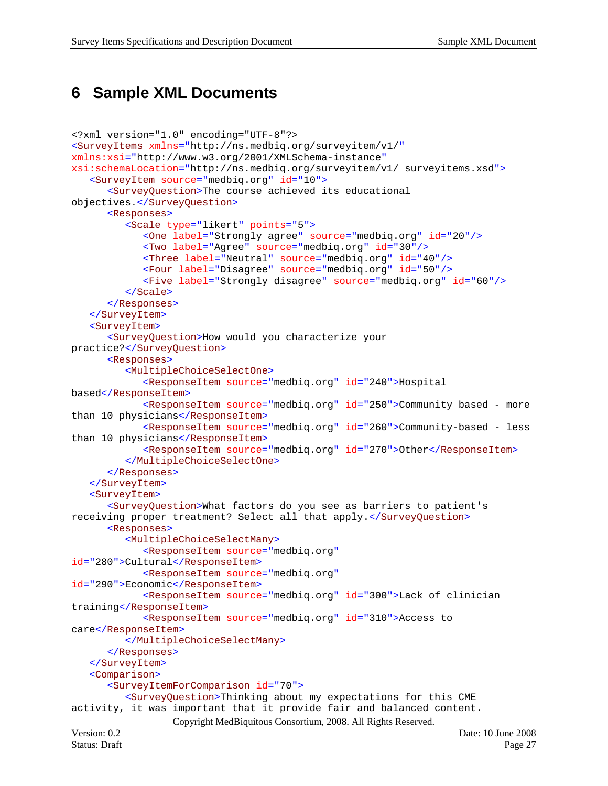### <span id="page-26-0"></span>**6 Sample XML Documents**

```
<?xml version="1.0" encoding="UTF-8"?>
<SurveyItems xmlns="http://ns.medbiq.org/surveyitem/v1/"
xmlns:xsi="http://www.w3.org/2001/XMLSchema-instance"
xsi:schemaLocation="http://ns.medbiq.org/surveyitem/v1/ surveyitems.xsd">
   <SurveyItem source="medbiq.org" id="10">
      <SurveyQuestion>The course achieved its educational 
objectives.</SurveyQuestion>
      <Responses>
         <Scale type="likert" points="5">
            <One label="Strongly agree" source="medbiq.org" id="20"/>
            <Two label="Agree" source="medbiq.org" id="30"/>
            <Three label="Neutral" source="medbiq.org" id="40"/>
            <Four label="Disagree" source="medbiq.org" id="50"/>
            <Five label="Strongly disagree" source="medbiq.org" id="60"/>
         </Scale>
      </Responses>
   </SurveyItem>
   <SurveyItem>
      <SurveyQuestion>How would you characterize your 
practice?</SurveyQuestion>
      <Responses>
         <MultipleChoiceSelectOne>
            <ResponseItem source="medbiq.org" id="240">Hospital 
based</ResponseItem>
            <ResponseItem source="medbiq.org" id="250">Community based - more 
than 10 physicians</ResponseItem>
            <ResponseItem source="medbiq.org" id="260">Community-based - less 
than 10 physicians</ResponseItem>
            <ResponseItem source="medbiq.org" id="270">Other</ResponseItem>
         </MultipleChoiceSelectOne>
      </Responses>
   </SurveyItem>
   <SurveyItem>
      <SurveyQuestion>What factors do you see as barriers to patient's 
receiving proper treatment? Select all that apply.</SurveyQuestion>
      <Responses>
         <MultipleChoiceSelectMany>
            <ResponseItem source="medbiq.org"
id="280">Cultural</ResponseItem>
            <ResponseItem source="medbiq.org"
id="290">Economic</ResponseItem>
            <ResponseItem source="medbiq.org" id="300">Lack of clinician 
training</ResponseItem>
            <ResponseItem source="medbiq.org" id="310">Access to 
care</ResponseItem>
         </MultipleChoiceSelectMany>
      </Responses>
   </SurveyItem>
   <Comparison>
      <SurveyItemForComparison id="70">
         <SurveyQuestion>Thinking about my expectations for this CME 
activity, it was important that it provide fair and balanced content.
```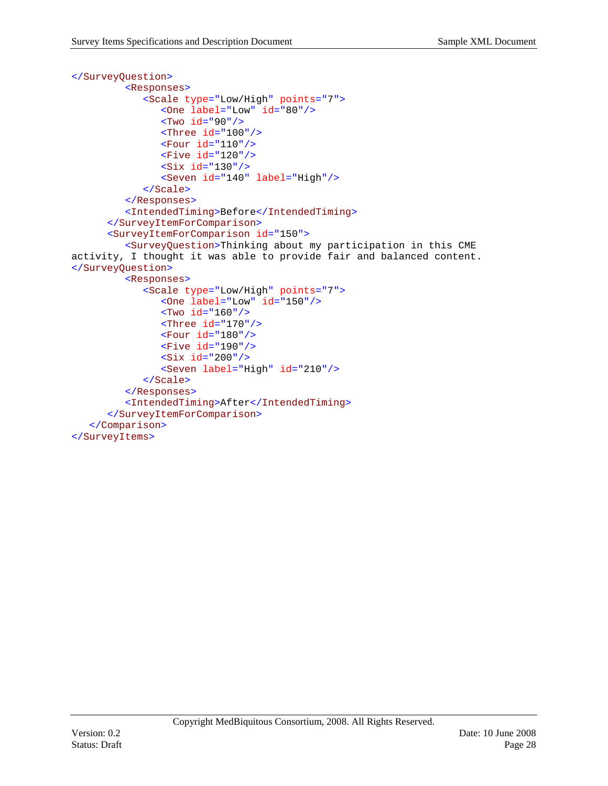```
</SurveyQuestion>
         <Responses>
            <Scale type="Low/High" points="7">
               <One label="Low" id="80"/>
               <Two id="90"/>
               <Three id="100"/>
               <Four id="110"/>
               <Five id="120"/>
               <Six id="130"/>
               <Seven id="140" label="High"/>
            </Scale>
         </Responses>
         <IntendedTiming>Before</IntendedTiming>
      </SurveyItemForComparison>
      <SurveyItemForComparison id="150">
         <SurveyQuestion>Thinking about my participation in this CME 
activity, I thought it was able to provide fair and balanced content.
</SurveyQuestion>
         <Responses>
            <Scale type="Low/High" points="7">
               <One label="Low" id="150"/>
               <Two id="160"/>
               <Three id="170"/>
               <Four id="180"/>
               <Five id="190"/>
               <Six id="200"/>
               <Seven label="High" id="210"/>
            </Scale>
         </Responses>
         <IntendedTiming>After</IntendedTiming>
      </SurveyItemForComparison>
   </Comparison>
</SurveyItems>
```